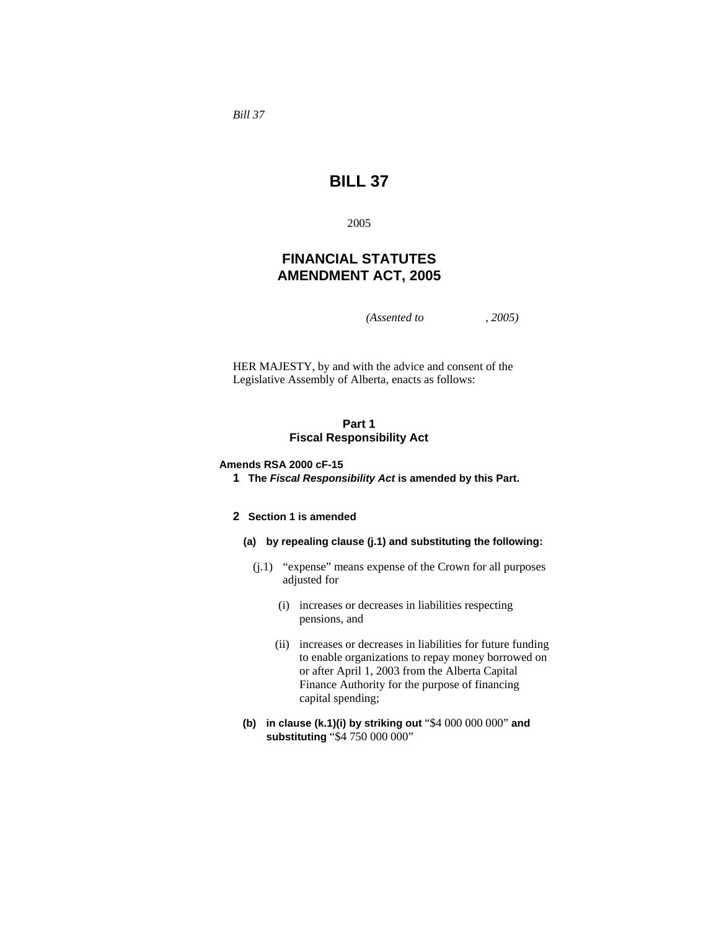*Bill 37* 

# **BILL 37**

2005

# **FINANCIAL STATUTES AMENDMENT ACT, 2005**

*(Assented to , 2005)* 

HER MAJESTY, by and with the advice and consent of the Legislative Assembly of Alberta, enacts as follows:

### **Part 1 Fiscal Responsibility Act**

### **Amends RSA 2000 cF-15**

**1 The** *Fiscal Responsibility Act* **is amended by this Part.** 

### **2 Section 1 is amended**

**(a) by repealing clause (j.1) and substituting the following:** 

- (j.1) "expense" means expense of the Crown for all purposes adjusted for
	- (i) increases or decreases in liabilities respecting pensions, and
	- (ii) increases or decreases in liabilities for future funding to enable organizations to repay money borrowed on or after April 1, 2003 from the Alberta Capital Finance Authority for the purpose of financing capital spending;
- **(b) in clause (k.1)(i) by striking out** "\$4 000 000 000" **and substituting** "\$4 750 000 000"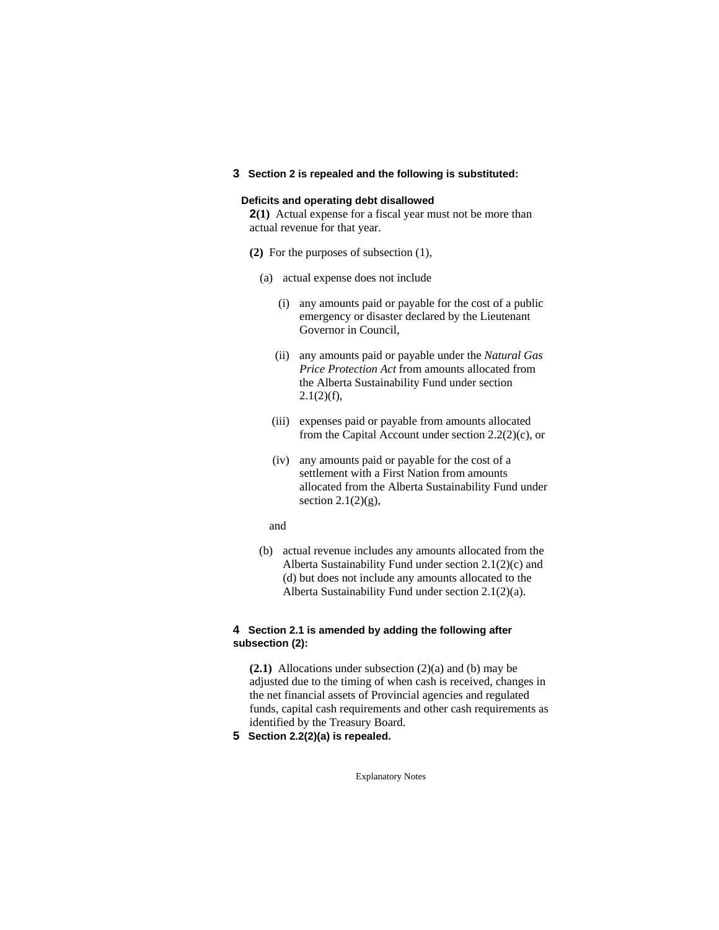#### **3 Section 2 is repealed and the following is substituted:**

### **Deficits and operating debt disallowed**

**2(1)** Actual expense for a fiscal year must not be more than actual revenue for that year.

- **(2)** For the purposes of subsection (1),
	- (a) actual expense does not include
		- (i) any amounts paid or payable for the cost of a public emergency or disaster declared by the Lieutenant Governor in Council,
		- (ii) any amounts paid or payable under the *Natural Gas Price Protection Act* from amounts allocated from the Alberta Sustainability Fund under section  $2.1(2)(f)$ ,
		- (iii) expenses paid or payable from amounts allocated from the Capital Account under section  $2.2(2)(c)$ , or
		- (iv) any amounts paid or payable for the cost of a settlement with a First Nation from amounts allocated from the Alberta Sustainability Fund under section  $2.1(2)(g)$ ,

#### and

 (b) actual revenue includes any amounts allocated from the Alberta Sustainability Fund under section 2.1(2)(c) and (d) but does not include any amounts allocated to the Alberta Sustainability Fund under section 2.1(2)(a).

### **4 Section 2.1 is amended by adding the following after subsection (2):**

**(2.1)** Allocations under subsection (2)(a) and (b) may be adjusted due to the timing of when cash is received, changes in the net financial assets of Provincial agencies and regulated funds, capital cash requirements and other cash requirements as identified by the Treasury Board.

**5 Section 2.2(2)(a) is repealed.**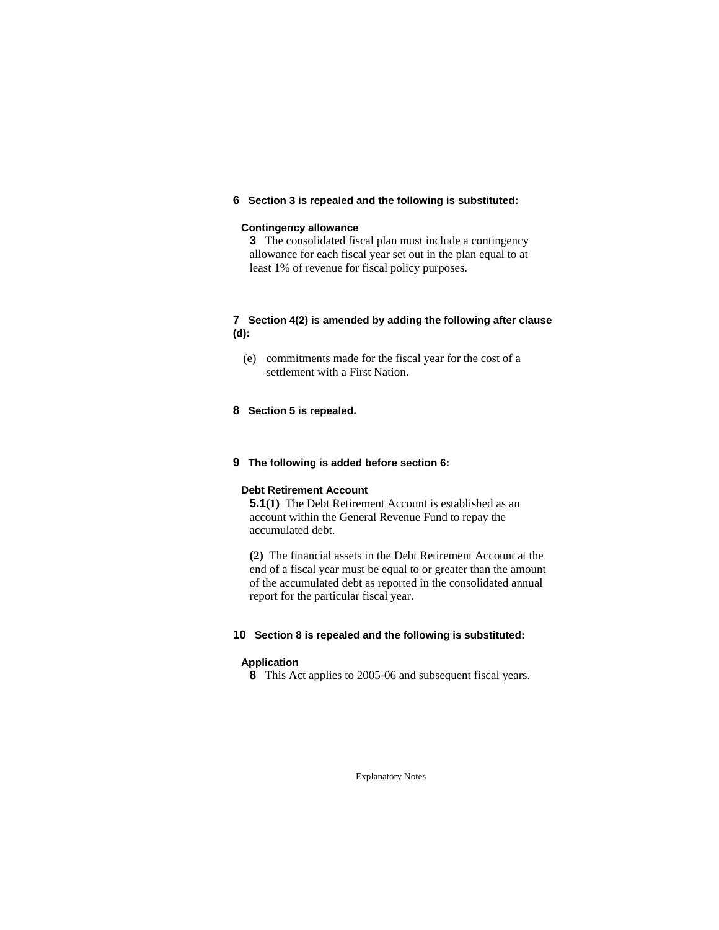### **6 Section 3 is repealed and the following is substituted:**

### **Contingency allowance**

**3** The consolidated fiscal plan must include a contingency allowance for each fiscal year set out in the plan equal to at least 1% of revenue for fiscal policy purposes.

### **7 Section 4(2) is amended by adding the following after clause (d):**

 (e) commitments made for the fiscal year for the cost of a settlement with a First Nation.

### **8 Section 5 is repealed.**

### **9 The following is added before section 6:**

### **Debt Retirement Account**

**5.1(1)** The Debt Retirement Account is established as an account within the General Revenue Fund to repay the accumulated debt.

**(2)** The financial assets in the Debt Retirement Account at the end of a fiscal year must be equal to or greater than the amount of the accumulated debt as reported in the consolidated annual report for the particular fiscal year.

#### **10 Section 8 is repealed and the following is substituted:**

#### **Application**

**8** This Act applies to 2005-06 and subsequent fiscal years.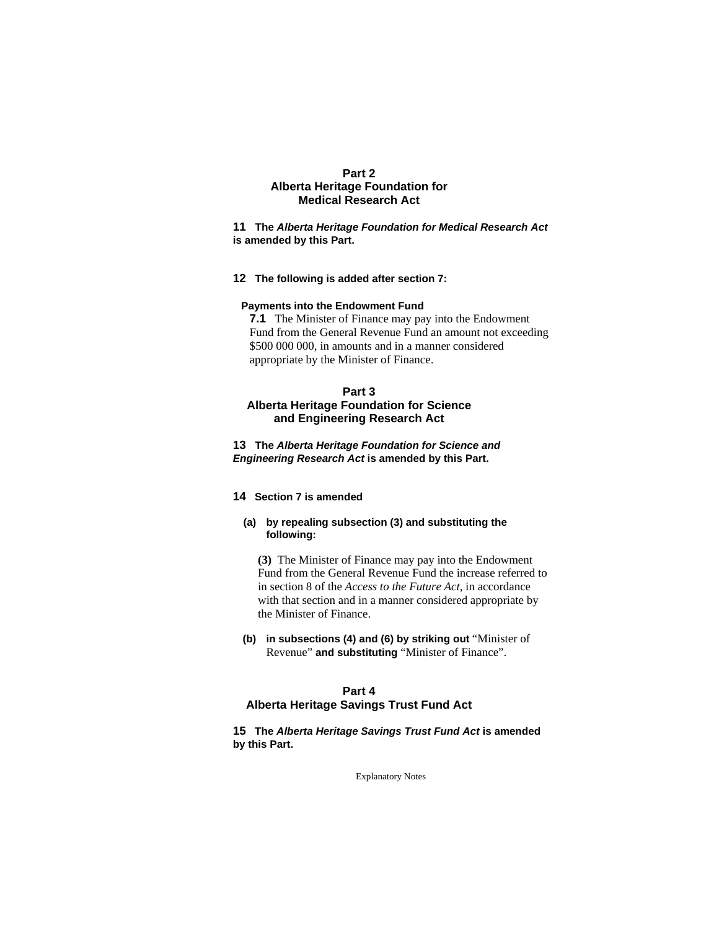### **Part 2 Alberta Heritage Foundation for Medical Research Act**

**11 The** *Alberta Heritage Foundation for Medical Research Act* **is amended by this Part.** 

#### **12 The following is added after section 7:**

#### **Payments into the Endowment Fund**

**7.1** The Minister of Finance may pay into the Endowment Fund from the General Revenue Fund an amount not exceeding \$500 000 000, in amounts and in a manner considered appropriate by the Minister of Finance.

# **Part 3 Alberta Heritage Foundation for Science and Engineering Research Act**

**13 The** *Alberta Heritage Foundation for Science and Engineering Research Act* **is amended by this Part.** 

# **14 Section 7 is amended**

### **(a) by repealing subsection (3) and substituting the following:**

**(3)** The Minister of Finance may pay into the Endowment Fund from the General Revenue Fund the increase referred to in section 8 of the *Access to the Future Act*, in accordance with that section and in a manner considered appropriate by the Minister of Finance.

**(b) in subsections (4) and (6) by striking out** "Minister of Revenue" **and substituting** "Minister of Finance".

### **Part 4 Alberta Heritage Savings Trust Fund Act**

### **15 The** *Alberta Heritage Savings Trust Fund Act* **is amended by this Part.**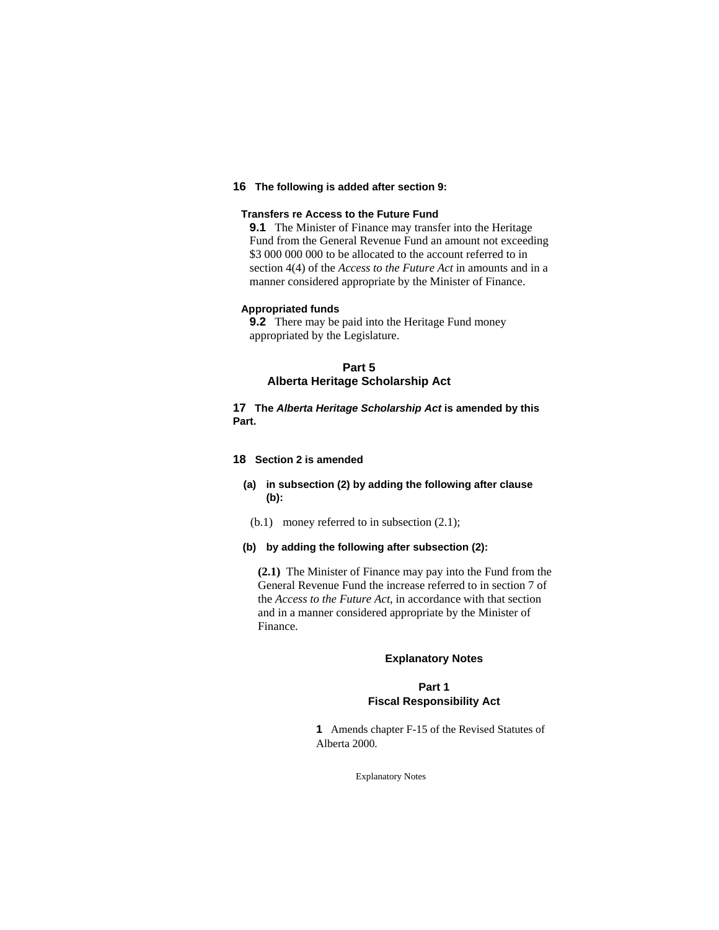# **16 The following is added after section 9:**

### **Transfers re Access to the Future Fund**

**9.1** The Minister of Finance may transfer into the Heritage Fund from the General Revenue Fund an amount not exceeding \$3,000,000,000 to be allocated to the account referred to in section 4(4) of the *Access to the Future Act* in amounts and in a manner considered appropriate by the Minister of Finance.

### **Appropriated funds**

**9.2** There may be paid into the Heritage Fund money appropriated by the Legislature.

# **Part 5 Alberta Heritage Scholarship Act**

**17 The** *Alberta Heritage Scholarship Act* **is amended by this Part.** 

#### **18 Section 2 is amended**

### **(a) in subsection (2) by adding the following after clause (b):**

(b.1) money referred to in subsection (2.1);

### **(b) by adding the following after subsection (2):**

**(2.1)** The Minister of Finance may pay into the Fund from the General Revenue Fund the increase referred to in section 7 of the *Access to the Future Act*, in accordance with that section and in a manner considered appropriate by the Minister of Finance.

### **Explanatory Notes**

### **Part 1 Fiscal Responsibility Act**

**1** Amends chapter F-15 of the Revised Statutes of Alberta 2000.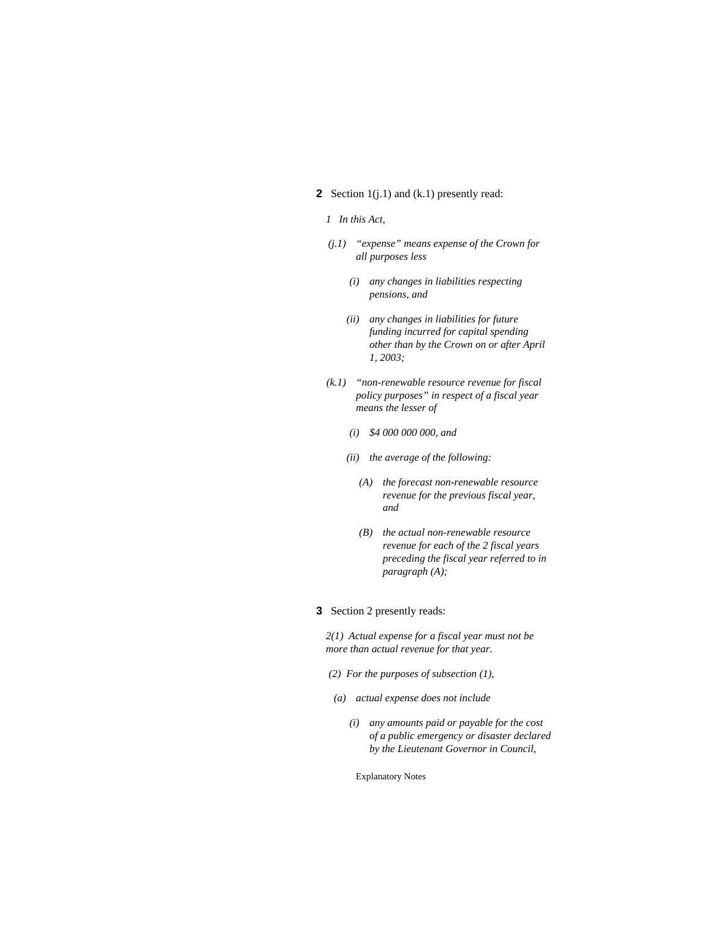# **2** Section 1(j.1) and (k.1) presently read:

#### *1 In this Act,*

- *(j.1) "expense" means expense of the Crown for all purposes less* 
	- *(i) any changes in liabilities respecting pensions, and*
	- *(ii) any changes in liabilities for future funding incurred for capital spending other than by the Crown on or after April 1, 2003;*
- *(k.1) "non-renewable resource revenue for fiscal policy purposes" in respect of a fiscal year means the lesser of* 
	- *(i) \$4 000 000 000, and*
	- *(ii) the average of the following:* 
		- *(A) the forecast non-renewable resource revenue for the previous fiscal year, and*
		- *(B) the actual non-renewable resource revenue for each of the 2 fiscal years preceding the fiscal year referred to in paragraph (A);*
- **3** Section 2 presently reads:

*2(1) Actual expense for a fiscal year must not be more than actual revenue for that year.* 

- *(2) For the purposes of subsection (1),*
- *(a) actual expense does not include* 
	- *(i) any amounts paid or payable for the cost of a public emergency or disaster declared by the Lieutenant Governor in Council,*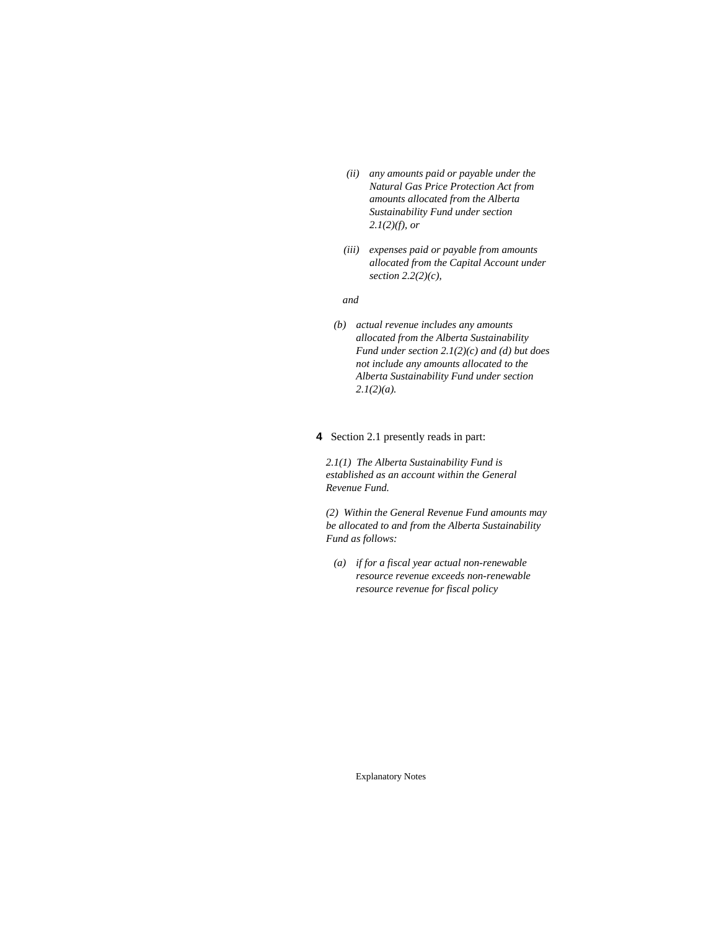- *(ii) any amounts paid or payable under the Natural Gas Price Protection Act from amounts allocated from the Alberta Sustainability Fund under section 2.1(2)(f), or*
- *(iii) expenses paid or payable from amounts allocated from the Capital Account under section 2.2(2)(c),*

#### *and*

 *(b) actual revenue includes any amounts allocated from the Alberta Sustainability Fund under section 2.1(2)(c) and (d) but does not include any amounts allocated to the Alberta Sustainability Fund under section 2.1(2)(a).* 

#### **4** Section 2.1 presently reads in part:

*2.1(1) The Alberta Sustainability Fund is established as an account within the General Revenue Fund.* 

*(2) Within the General Revenue Fund amounts may be allocated to and from the Alberta Sustainability Fund as follows:* 

 *(a) if for a fiscal year actual non-renewable resource revenue exceeds non-renewable resource revenue for fiscal policy*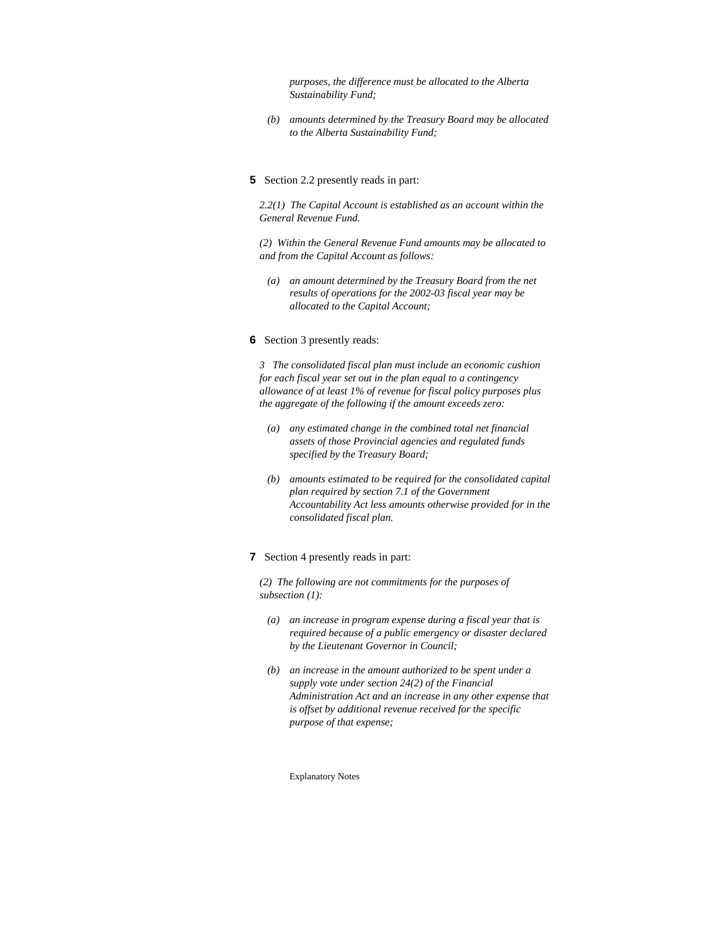*purposes, the difference must be allocated to the Alberta Sustainability Fund;* 

- *(b) amounts determined by the Treasury Board may be allocated to the Alberta Sustainability Fund;*
- **5** Section 2.2 presently reads in part:

*2.2(1) The Capital Account is established as an account within the General Revenue Fund.* 

*(2) Within the General Revenue Fund amounts may be allocated to and from the Capital Account as follows:* 

 *(a) an amount determined by the Treasury Board from the net results of operations for the 2002-03 fiscal year may be allocated to the Capital Account;* 

#### **6** Section 3 presently reads:

*3 The consolidated fiscal plan must include an economic cushion for each fiscal year set out in the plan equal to a contingency allowance of at least 1% of revenue for fiscal policy purposes plus the aggregate of the following if the amount exceeds zero:* 

- *(a) any estimated change in the combined total net financial assets of those Provincial agencies and regulated funds specified by the Treasury Board;*
- *(b) amounts estimated to be required for the consolidated capital plan required by section 7.1 of the Government Accountability Act less amounts otherwise provided for in the consolidated fiscal plan.*

#### **7** Section 4 presently reads in part:

*(2) The following are not commitments for the purposes of subsection (1):* 

- *(a) an increase in program expense during a fiscal year that is required because of a public emergency or disaster declared by the Lieutenant Governor in Council;*
- *(b) an increase in the amount authorized to be spent under a supply vote under section 24(2) of the Financial Administration Act and an increase in any other expense that is offset by additional revenue received for the specific purpose of that expense;*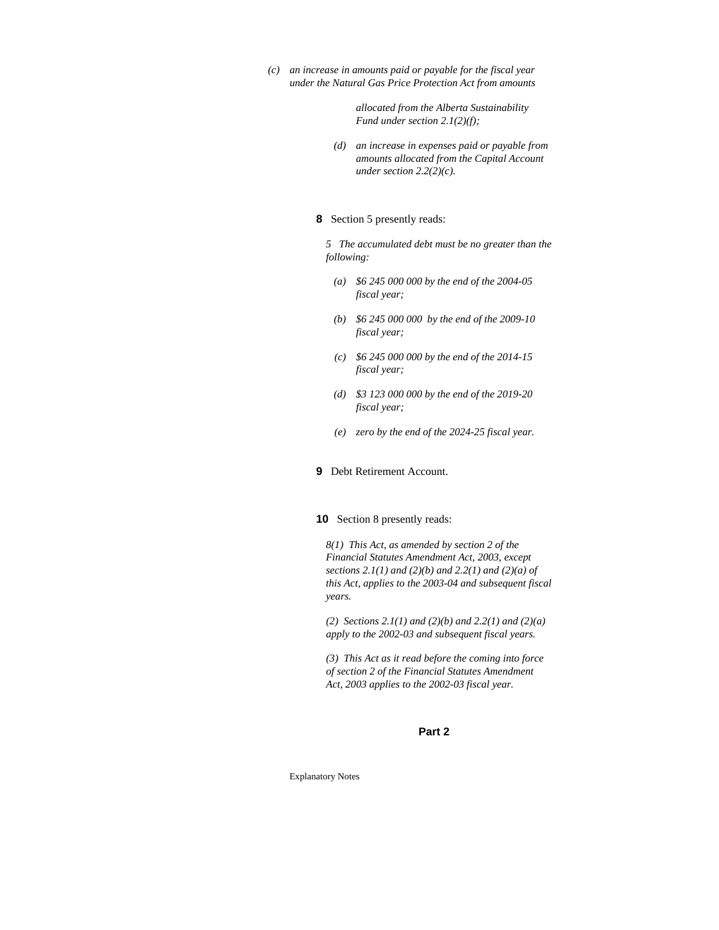*(c) an increase in amounts paid or payable for the fiscal year under the Natural Gas Price Protection Act from amounts*

> *allocated from the Alberta Sustainability Fund under section 2.1(2)(f);*

 *(d) an increase in expenses paid or payable from amounts allocated from the Capital Account under section 2.2(2)(c).* 

#### **8** Section 5 presently reads:

*5 The accumulated debt must be no greater than the following:* 

- *(a) \$6 245 000 000 by the end of the 2004-05 fiscal year;*
- *(b) \$6 245 000 000 by the end of the 2009-10 fiscal year;*
- *(c) \$6 245 000 000 by the end of the 2014-15 fiscal year;*
- *(d) \$3 123 000 000 by the end of the 2019-20 fiscal year;*
- *(e) zero by the end of the 2024-25 fiscal year.*

#### **9** Debt Retirement Account.

#### **10** Section 8 presently reads:

*8(1) This Act, as amended by section 2 of the Financial Statutes Amendment Act, 2003, except sections 2.1(1) and (2)(b) and 2.2(1) and (2)(a) of this Act, applies to the 2003-04 and subsequent fiscal years.* 

*(2) Sections 2.1(1) and (2)(b) and 2.2(1) and (2)(a) apply to the 2002-03 and subsequent fiscal years.* 

*(3) This Act as it read before the coming into force of section 2 of the Financial Statutes Amendment Act, 2003 applies to the 2002-03 fiscal year.* 

#### **Part 2**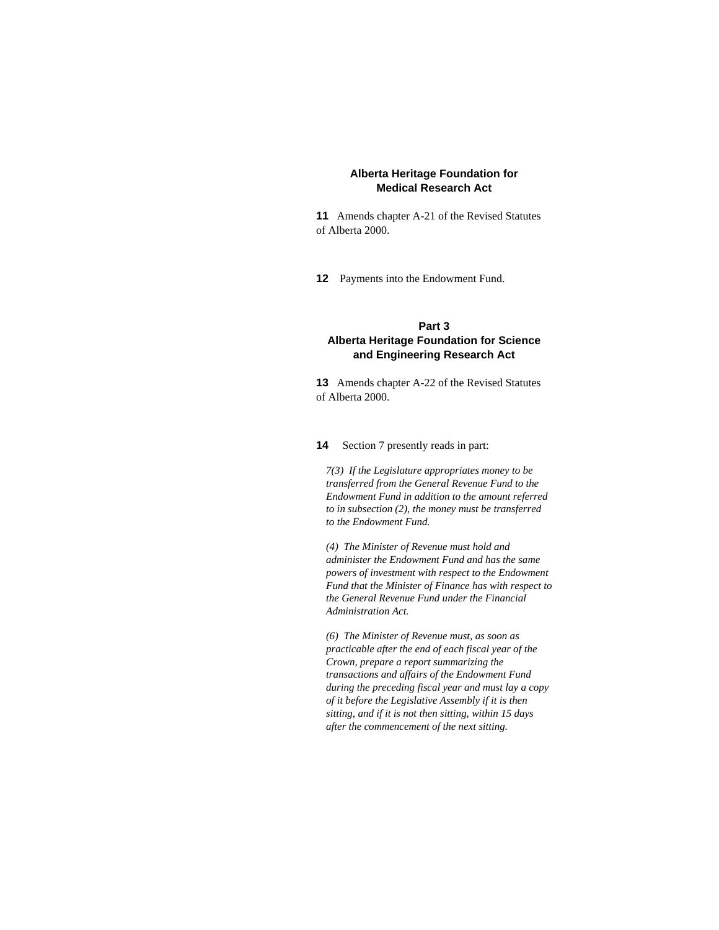### **Alberta Heritage Foundation for Medical Research Act**

**11** Amends chapter A-21 of the Revised Statutes of Alberta 2000.

**12** Payments into the Endowment Fund.

# **Part 3 Alberta Heritage Foundation for Science and Engineering Research Act**

**13** Amends chapter A-22 of the Revised Statutes of Alberta 2000.

**14** Section 7 presently reads in part:

*7(3) If the Legislature appropriates money to be transferred from the General Revenue Fund to the Endowment Fund in addition to the amount referred to in subsection (2), the money must be transferred to the Endowment Fund.* 

*(4) The Minister of Revenue must hold and administer the Endowment Fund and has the same powers of investment with respect to the Endowment Fund that the Minister of Finance has with respect to the General Revenue Fund under the Financial Administration Act.* 

*(6) The Minister of Revenue must, as soon as practicable after the end of each fiscal year of the Crown, prepare a report summarizing the transactions and affairs of the Endowment Fund during the preceding fiscal year and must lay a copy of it before the Legislative Assembly if it is then sitting, and if it is not then sitting, within 15 days after the commencement of the next sitting.*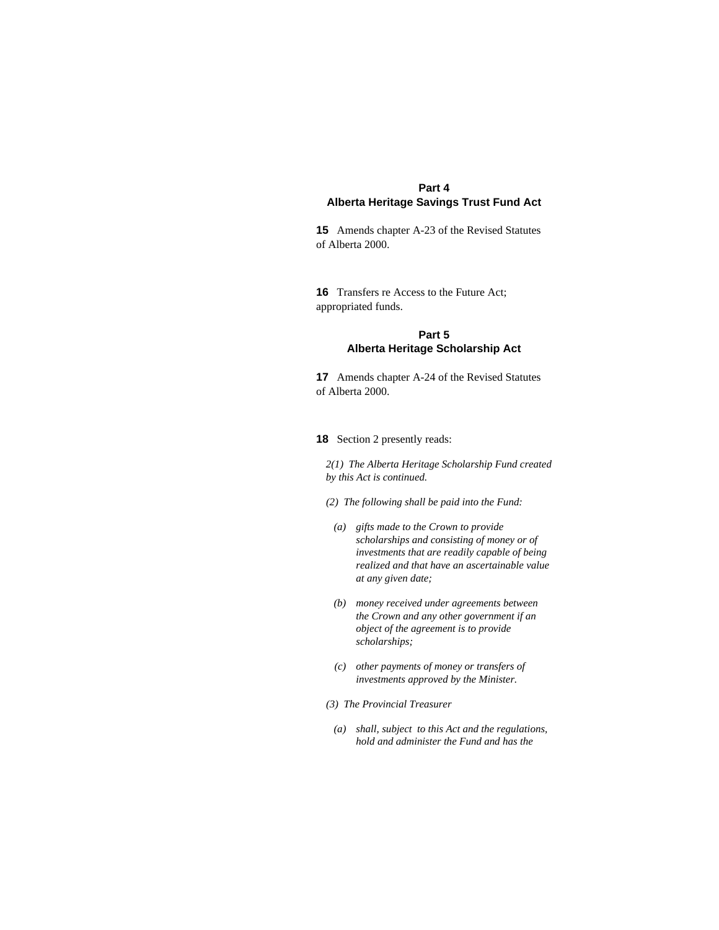# **Part 4 Alberta Heritage Savings Trust Fund Act**

**15** Amends chapter A-23 of the Revised Statutes of Alberta 2000.

**16** Transfers re Access to the Future Act; appropriated funds.

## **Part 5 Alberta Heritage Scholarship Act**

**17** Amends chapter A-24 of the Revised Statutes of Alberta 2000.

### **18** Section 2 presently reads:

*2(1) The Alberta Heritage Scholarship Fund created by this Act is continued.* 

- *(2) The following shall be paid into the Fund:*
- *(a) gifts made to the Crown to provide scholarships and consisting of money or of investments that are readily capable of being realized and that have an ascertainable value at any given date;*
- *(b) money received under agreements between the Crown and any other government if an object of the agreement is to provide scholarships;*
- *(c) other payments of money or transfers of investments approved by the Minister.*
- *(3) The Provincial Treasurer* 
	- *(a) shall, subject to this Act and the regulations, hold and administer the Fund and has the*